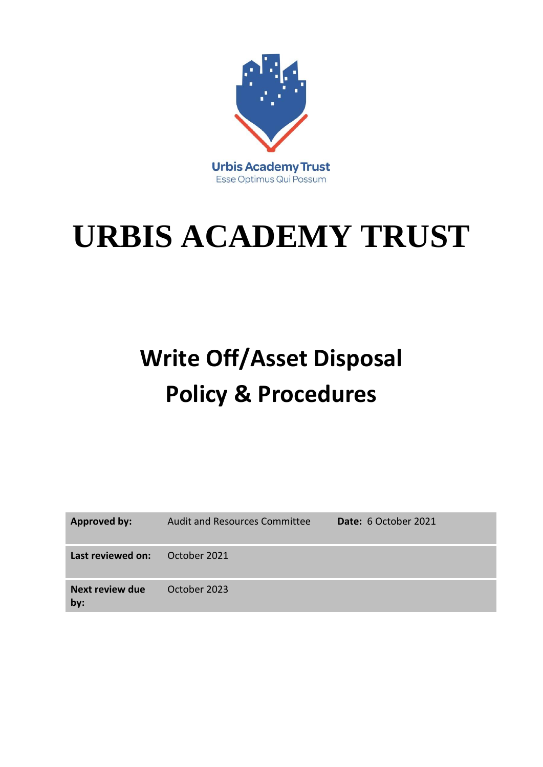

## **URBIS ACADEMY TRUST**

## **Write Off/Asset Disposal Policy & Procedures**

| <b>Approved by:</b>    | <b>Audit and Resources Committee</b> | Date: 6 October 2021 |
|------------------------|--------------------------------------|----------------------|
| Last reviewed on:      | October 2021                         |                      |
| Next review due<br>by: | October 2023                         |                      |